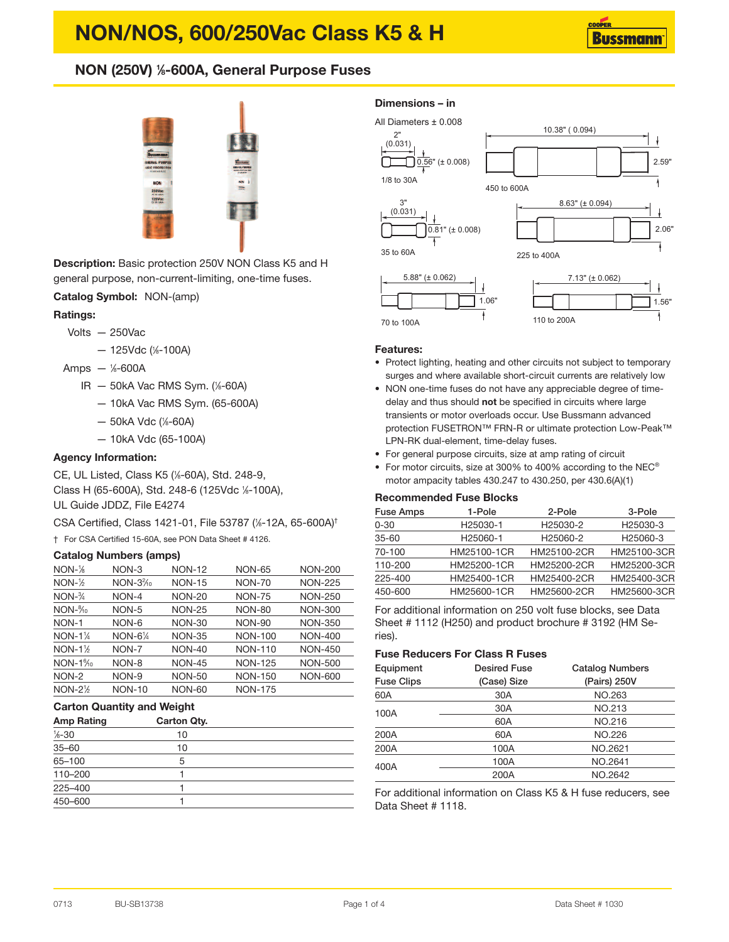# **NON/NOS, 600/250Vac Class K5 & H**

# **NON (250V) <sup>1</sup> ⁄8-600A, General Purpose Fuses**



**Description:** Basic protection 250V NON Class K5 and H general purpose, non-current-limiting, one-time fuses.

# **Catalog Symbol:** NON-(amp)

# **Ratings:**

- Volts 250Vac
	- 125Vdc ( 1 ⁄8-100A)
- Amps <sup>1</sup> ⁄8-600A
	- IR 50kA Vac RMS Sym. ( 1 ⁄8-60A)
		- 10kA Vac RMS Sym. (65-600A)
		- 50kA Vdc ( 1 ⁄8-60A)
		- 10kA Vdc (65-100A)

# **Agency Information:**

CE, UL Listed, Class K5 ( 1 ⁄8-60A), Std. 248-9, Class H (65-600A), Std. 248-6 (125Vdc <sup>1</sup> ⁄8-100A), UL Guide JDDZ, File E4274

CSA Certified, Class 1421-01, File 53787 (%-12A, 65-600A)<sup>†</sup>

† For CSA Certified 15-60A, see PON Data Sheet # 4126.

## **Catalog Numbers (amps)**

| $NON-16$                            | NON-3         | <b>NON-12</b> | <b>NON-65</b>  | <b>NON-200</b> |
|-------------------------------------|---------------|---------------|----------------|----------------|
| $NON-2$                             | $NON-32/10$   | <b>NON-15</b> | <b>NON-70</b>  | <b>NON-225</b> |
| $NON-3/4$                           | NON-4         | <b>NON-20</b> | <b>NON-75</b>  | <b>NON-250</b> |
| $NON-8/10$                          | NON-5         | <b>NON-25</b> | <b>NON-80</b>  | <b>NON-300</b> |
| NON-1                               | NON-6         | <b>NON-30</b> | <b>NON-90</b>  | <b>NON-350</b> |
| $NON-1\%$                           | $NON-61/4$    | <b>NON-35</b> | <b>NON-100</b> | <b>NON-400</b> |
| $NON-1$ <sup>1</sup> / <sub>2</sub> | NON-7         | <b>NON-40</b> | <b>NON-110</b> | <b>NON-450</b> |
| $NON-1\%$                           | NON-8         | <b>NON-45</b> | <b>NON-125</b> | <b>NON-500</b> |
| NON-2                               | NON-9         | <b>NON-50</b> | <b>NON-150</b> | <b>NON-600</b> |
| $NON-2\%$                           | <b>NON-10</b> | <b>NON-60</b> | <b>NON-175</b> |                |

# **Carton Quantity and Weight**

| <b>Amp Rating</b>  | <b>Carton Qty.</b> |  |
|--------------------|--------------------|--|
| $\frac{1}{6} - 30$ | 10                 |  |
| $35 - 60$          | 10                 |  |
| 65-100             | 5                  |  |
| 110-200            |                    |  |
| 225-400            |                    |  |
| 450-600            |                    |  |

# **Dimensions – in**



#### **Features:**

- Protect lighting, heating and other circuits not subject to temporary surges and where available short-circuit currents are relatively low
- NON one-time fuses do not have any appreciable degree of timedelay and thus should **not** be specified in circuits where large transients or motor overloads occur. Use Bussmann advanced protection FUSETRON™ FRN-R or ultimate protection Low-Peak™ LPN-RK dual-element, time-delay fuses.
- For general purpose circuits, size at amp rating of circuit
- For motor circuits, size at 300% to 400% according to the NEC® motor ampacity tables 430.247 to 430.250, per 430.6(A)(1)

# **Recommended Fuse Blocks**

| <b>Fuse Amps</b> | 1-Pole               | 2-Pole               | 3-Pole               |
|------------------|----------------------|----------------------|----------------------|
| $0 - 30$         | H <sub>25030-1</sub> | H <sub>25030-2</sub> | H25030-3             |
| $35 - 60$        | H25060-1             | H25060-2             | H <sub>25060-3</sub> |
| 70-100           | HM25100-1CR          | HM25100-2CR          | HM25100-3CR          |
| 110-200          | HM25200-1CR          | HM25200-2CR          | HM25200-3CR          |
| 225-400          | HM25400-1CR          | HM25400-2CR          | HM25400-3CR          |
| 450-600          | HM25600-1CR          | HM25600-2CR          | HM25600-3CR          |
|                  |                      |                      |                      |

For additional information on 250 volt fuse blocks, see Data Sheet # 1112 (H250) and product brochure # 3192 (HM Series).

# **Fuse Reducers For Class R Fuses**

| Equipment<br><b>Fuse Clips</b> | <b>Desired Fuse</b><br>(Case) Size | <b>Catalog Numbers</b><br>(Pairs) 250V |
|--------------------------------|------------------------------------|----------------------------------------|
| 60A                            | 30A                                | NO.263                                 |
| 100A                           | 30A                                | NO.213                                 |
|                                | 60A                                | NO.216                                 |
| 200A                           | 60A                                | NO.226                                 |
| 200A                           | 100A                               | NO.2621                                |
| 400A                           | 100A                               | NO.2641                                |
|                                | 200A                               | NO.2642                                |

For additional information on Class K5 & H fuse reducers, see Data Sheet # 1118.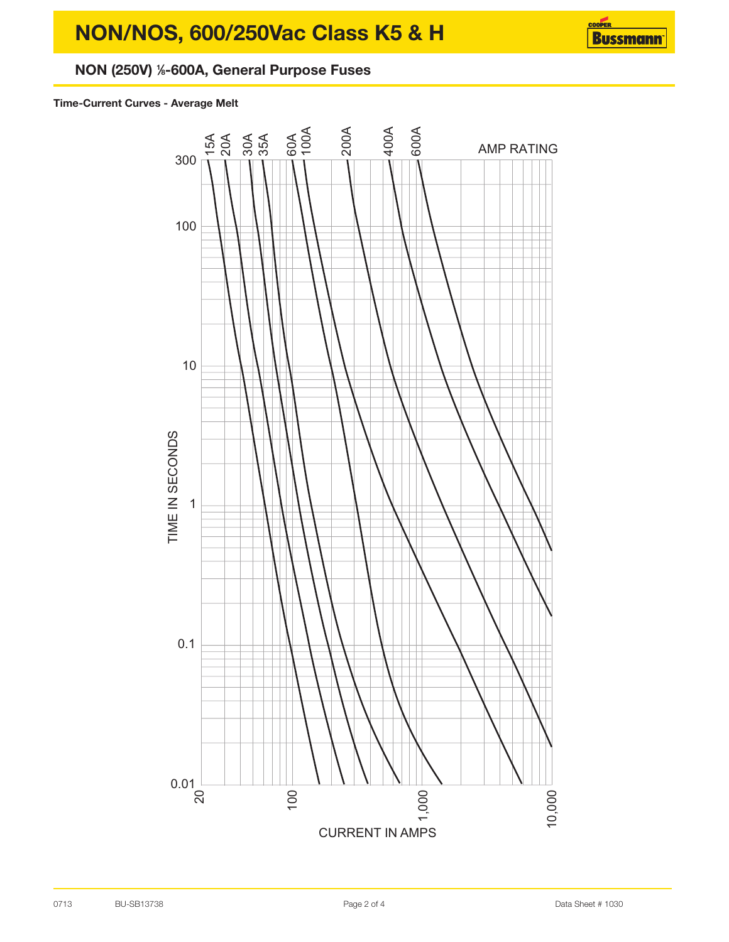# **NON/NOS, 600/250Vac Class K5 & H**



# **NON (250V) <sup>1</sup> ⁄8-600A, General Purpose Fuses**

# **Time-Current Curves - Average Melt**

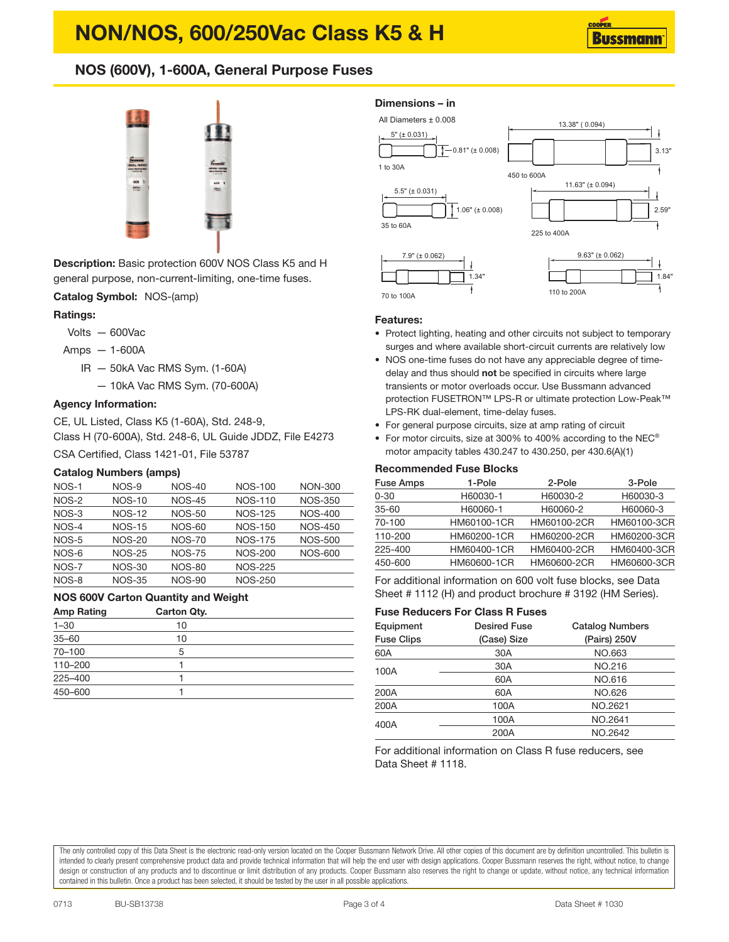# **NON/NOS, 600/250Vac Class K5 & H**

# **NOS (600V), 1-600A, General Purpose Fuses**



**Description:** Basic protection 600V NOS Class K5 and H general purpose, non-current-limiting, one-time fuses.

**Catalog Symbol:** NOS-(amp)

# **Ratings:**

- Volts 600Vac
- Amps 1-600A
	- IR 50kA Vac RMS Sym. (1-60A)
		- 10kA Vac RMS Sym. (70-600A)

## **Agency Information:**

CE, UL Listed, Class K5 (1-60A), Std. 248-9, Class H (70-600A), Std. 248-6, UL Guide JDDZ, File E4273

CSA Certified, Class 1421-01, File 53787

# **Catalog Numbers (amps)**

| NOS-1   | NOS-9         | <b>NOS-40</b> | <b>NOS-100</b> | <b>NON-300</b> |
|---------|---------------|---------------|----------------|----------------|
| NOS-2   | <b>NOS-10</b> | <b>NOS-45</b> | <b>NOS-110</b> | <b>NOS-350</b> |
| NOS-3   | <b>NOS-12</b> | <b>NOS-50</b> | <b>NOS-125</b> | <b>NOS-400</b> |
| $NOS-4$ | $NOS-15$      | $NOS-60$      | NOS-150        | <b>NOS-450</b> |
| NOS-5   | <b>NOS-20</b> | <b>NOS-70</b> | <b>NOS-175</b> | <b>NOS-500</b> |
| NOS-6   | <b>NOS-25</b> | <b>NOS-75</b> | <b>NOS-200</b> | <b>NOS-600</b> |
| NOS-7   | <b>NOS-30</b> | <b>NOS-80</b> | <b>NOS-225</b> |                |
| NOS-8   | <b>NOS-35</b> | <b>NOS-90</b> | <b>NOS-250</b> |                |

#### **NOS 600V Carton Quantity and Weight**

| <b>Amp Rating</b> | Carton Qty. |  |
|-------------------|-------------|--|
| $1 - 30$          | 10          |  |
| $35 - 60$         | 10          |  |
| 70-100            | 5           |  |
| 110-200           |             |  |
| 225-400           |             |  |
| 450-600           |             |  |

# **Dimensions – in**



70 to 100A

# 110 to 200A

#### **Features:**

- Protect lighting, heating and other circuits not subject to temporary surges and where available short-circuit currents are relatively low
- NOS one-time fuses do not have any appreciable degree of timedelay and thus should **not** be specified in circuits where large transients or motor overloads occur. Use Bussmann advanced protection FUSETRON™ LPS-R or ultimate protection Low-Peak™ LPS-RK dual-element, time-delay fuses.
- For general purpose circuits, size at amp rating of circuit
- For motor circuits, size at 300% to 400% according to the NEC® motor ampacity tables 430.247 to 430.250, per 430.6(A)(1)

## **Recommended Fuse Blocks**

| <b>Fuse Amps</b> | 1-Pole      | 2-Pole      | 3-Pole      |
|------------------|-------------|-------------|-------------|
| $0 - 30$         | H60030-1    | H60030-2    | H60030-3    |
| $35 - 60$        | H60060-1    | H60060-2    | H60060-3    |
| 70-100           | HM60100-1CR | HM60100-2CR | HM60100-3CR |
| 110-200          | HM60200-1CR | HM60200-2CR | HM60200-3CR |
| 225-400          | HM60400-1CR | HM60400-2CR | HM60400-3CR |
| 450-600          | HM60600-1CR | HM60600-2CR | HM60600-3CR |

For additional information on 600 volt fuse blocks, see Data Sheet # 1112 (H) and product brochure # 3192 (HM Series).

## **Fuse Reducers For Class R Fuses**

| Equipment<br><b>Fuse Clips</b> | <b>Desired Fuse</b><br>(Case) Size | <b>Catalog Numbers</b><br>(Pairs) 250V |
|--------------------------------|------------------------------------|----------------------------------------|
| 60A                            | 30A                                | NO.663                                 |
| 100A                           | 30A                                | NO.216                                 |
|                                | 60A                                | NO.616                                 |
| 200A                           | 60A                                | NO.626                                 |
| 200A                           | 100A                               | NO.2621                                |
| 400A                           | 100A                               | NO.2641                                |
|                                | 200A                               | NO.2642                                |

For additional information on Class R fuse reducers, see Data Sheet # 1118.

The only controlled copy of this Data Sheet is the electronic read-only version located on the Cooper Bussmann Network Drive. All other copies of this document are by definition uncontrolled. This bulletin is intended to clearly present comprehensive product data and provide technical information that will help the end user with design applications. Cooper Bussmann reserves the right, without notice, to change design or construction of any products and to discontinue or limit distribution of any products. Cooper Bussmann also reserves the right to change or update, without notice, any technical information contained in this bulletin. Once a product has been selected, it should be tested by the user in all possible applications.